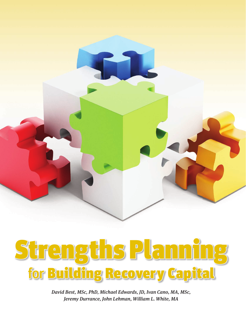



David Best, MSc, PhD, Michael Edwards, JD, Ivan Cano, MA, MSc, Jeremy Durrance, John Lehman, William L. White, MA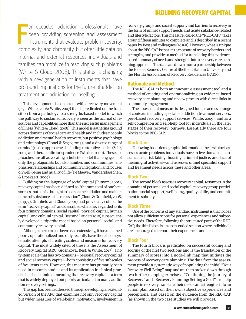F or decades, addiction professionals have been providing screening and assessment instruments that evaluate problem severity, complexity, and chronicity, but offer little data on internal and external resources individuals and families can mobilize in resolving such problems (White & Cloud, 2008). This status is changing with a new generation of instruments that have profound implications for the future of addiction treatment and addiction counselling.

This development is consistent with a recovery movement (e.g., White, 2006; White, 2007) that is predicated on the transition from a pathology to a strengths-based model in which the pathway to sustained recovery is seen as the accrual of resources and capabilities more than the successful management of illness (White & Cloud, 2008). This model is gathering ground across domains of social care and health and includes not only addiction and mental health recovery, but positive psychology and criminology (Ronel & Segev, 2015), and a diverse range of criminal justice approaches including restorative justice (Zehr, 2002) and therapeutic jurisprudence (Wexler, 2000). These approaches are all advocating a holistic model that engages not only the protagonists but also families and communities; emphasizes relationships and community integration; and focuses on well-being and quality of life (De Maeyer, Vanderplasschen, & Broekaert, 2009).

Building on the language of social capital (Putnam, 2001), recovery capital has been defined as "the sum total of one's resources that can be brought to bear on the initiation and maintenance of substance misuse cessation" (Cloud & Granfield, 2008, p. 1972). Granfield and Cloud (2001) had previously coined the term "recovery capital" and described what they regarded as its four primary domains: social capital, physical capital, human capital, and cultural capital. Best and Laudet (2010) subsequently developed a tripartite model based on personal, social, and community recovery capital.

Although the term has been used extensively, it has remained poorly operationalized and only recently have there been systematic attempts at creating scales and measures for recovery capital. The most widely cited of these is the Assessment of Recovery Capital (ARC; Groshkova, Best, & White, 2013), a fifty-item scale that has two domains—personal recovery capital and social recovery capital—both consisting of five subscales of five items each. However, this measure has primarily been used in research studies and its application in clinical practice has been limited, meaning that recovery capital is a term that is widely deployed but poorly articulated in many addiction recovery settings.

This gap has been addressed through developing an extended version of the ARC that examines not only recovery capital but wider measures of well-being, motivation, involvement in recovery groups and social support, and barriers to recovery in the form of unmet support needs and acute substance-related and lifestyle factors. This measure, called the "REC-CAP," takes around fifteen minutes to complete and is described in a recent paper by Best and colleagues (2016a). However, what is unique about the REC-CAP is that it is a measure of recovery barriers and strengths, and provides a method for translating this evidencebased summary of needs and strengths into a recovery care planning approach. The data are drawn from a partnership between the Helena Kennedy Centre at Sheffield Hallam University and the Florida Association of Recovery Residences (FARR).

#### Rationale and Method

The REC-CAP is both an innovative assessment tool and a method of creating and operationalizing an evidence-based recovery care planning and review process with direct links to community engagement.

The assessment measure is designed for use across a range of contexts including specialist addiction treatment services, peer-based recovery support services (White, 2009), and as a self-completion and self-help tool for individuals in the later stages of their recovery journeys. Essentially there are four blocks to the REC-CAP:

#### **Block One**

Following basic demographic information, the first block assesses acute problems individuals have in five domains-substance use, risk taking, housing, criminal justice, and lack of meaningful activities—and assesses unmet specialist support and treatment needs across these and other areas.

#### **Block Two**

The second block assesses recovery capital, resources in the domains of personal and social capital, recovery group participation, social support, well-being, quality of life, and commitment to sobriety.

#### **Block Three**

One of the concerns of any standard instrument is that it does not allow sufficient scope for personal experiences and subjective needs. Therefore, following the structured parts of the REC-CAP, the third block is an open-ended section where individuals are encouraged to report their experiences and needs.

#### **Block Four**

The fourth block is predicated on successful coding and scoring of the first two sections and is the translation of the summary of scores into a node-link map that initiates the process of recovery care planning. The data from the assessment provide a systematic way of populating the initial "Your Recovery Well-Being" map and are then broken down through two further mapping exercises—"Continuing the Journey of Recovery" and "Recovery Planning: Setting a Goal"—to help people in recovery translate their needs and strengths into an action plan based on their own subjective experiences and perceptions, and based on the evidence from the REC-CAP (as shown in the two case studies we will provide).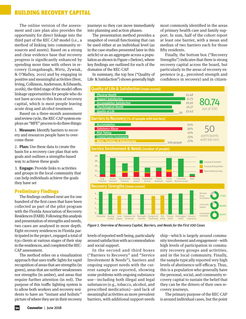The online version of the assessment and care plan also provides the opportunity for direct linkage into the third part of the REC-CAP model (i.e., a method of linking into community resources and assets). Based on a strong and clear evidence base that recovery progress is significantly enhanced by spending more time with others in recovery (Longabaugh, Wirtz, Zywiak, & O'Malley, 2010) and by engaging in positive and meaningful activities (Best, Irving, Collinson, Andersson, & Edwards, 2016b), the third stage of the model offers linkage opportunities for people who do not have access to this form of recovery capital, which is most people leaving acute drug and alcohol treatment.

Based on a three-month assessment and review cycle, the REC-CAP system employs an "MPE" process to do three things:

1. **Measure:** Identify barriers to recovery and resources people have to overcome these

2. **Plan:** Use these data to create the basis for a recovery care plan that sets goals and outlines a strengths-based way to achieve these goals

3. **Engage:** Provide links to activities and groups in the local community that can help individuals achieve the goals they have set

## Preliminary Findings

The findings outlined next are for one hundred of the first cases that have been collected as part of the pilot program with the Florida Association of Recovery Residences (FARR). Following this analysis and presentation of strengths and needs, two cases are analysed in more depth. Eight recovery residences in Florida participated in the project, engaged a total of 630 clients at various stages of their stay in the residences, and completed the REC-CAP assessment.

The method relies on a visualization approach that uses traffic lights for rapid recognition of areas that are strengths (in green), areas that are neither weaknesses nor strengths (in amber), and areas that require further attention (in red). The purpose of this traffic lighting system is to allow both workers and recovery residents to have an "instant and holistic" picture of where they are in their recovery

journeys so they can move immediately into planning and action phases.

The presentation method provides a snapshot of overall functioning that can be used either at an individual level (as in the case studies presented later in this article) or as an aggregate across a population as shown in Figure 1 (below), where key findings are outlined for each of the domains of the REC-CAP.

In summary, the top box ("Quality of Life & Satisfaction") shows generally high

most commonly identified in the areas of primary health care and family support. In sum, half of the cohort report at least one barrier, with a mean and median of two barriers each for those fifty residents.

Finally, the bottom box ("Recovery Strengths") indicates that there is strong recovery capital across the board, but particularly in the areas of recovery experience (e.g., perceived strength and confidence in recovery) and in citizen-



*Figure 1. Overview of Recovery Capital, Barriers, and Needs for the First 100 Cases*

levels of reported well-being, particularly around satisfaction with accommodation and social support.

In the second and third boxes ("Barriers to Recovery" and "Service Involvement & Needs"), barriers and ongoing support needs with the current sample are reported, showing some problems with ongoing substance use—including both illegal and legal substances (e.g., tobacco, alcohol, and prescribed medication)—and lack of meaningful activities as more prevalent barriers, with additional support needs

ship—which is largely around community involvement and engagement—with high levels of participation in community recovery groups and activities, and in the local community. Finally, the sample typically reported very high levels of abstinence self-efficacy. Thus, this is a population who generally have the personal, social, and community recovery capital to sustain the belief that they can be the drivers of their own recovery journeys.

The primary purpose of the REC-CAP is around individual cases, but the point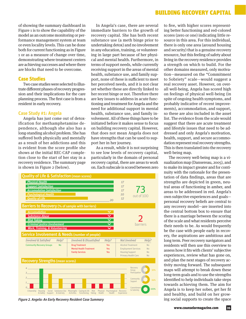of showing the summary dashboard in Figure 1 is to show the capability of the model as an outcome monitoring or performance management system at team or even locality levels. This can be done both for current functioning as in Figure 1 or as a measure of change over time, demonstrating where treatment centers are achieving successes and where there are blocks that need to be overcome.

#### Case Studies

Two case studies were selected to illustrate different phases of recovery progression and their implications for the care planning process. The first case is from a resident in early recovery.

#### **Case Study #1: Angela**

Angela has just come out of detoxification for methamphetamine dependence, although she also has a long-standing alcohol problem. She has suffered both physically and mentally as a result of her addictions and this is evident from the score profile she shows at the initial REC-CAP completion close to the start of her stay in a recovery residence. The summary page is shown in Figure 2 (below).

In Angela's case, there are several immediate barriers to the growth of recovery capital. She has both recent substance use (a meth binge prior to undertaking detox) and no involvement in any education, training, or volunteering in large part because of her physical and mental health. Furthermore, in terms of support needs, while currently receiving support in the areas of mental health, substance use, and family support, none of these is sufficient to meet her perceived needs, and it is not clear yet whether these are directly linked to her recent binge or not. Therefore there are key issues to address in acute functioning and treatment for Angela and the need for additional support in mental health, substance use, and family involvement. All of these things have to be initiated before it makes sense to focus on building recovery capital. However, that does not mean Angela does not have strengths that can be used to support her in her journey.

As a result, while it is not surprising to see low levels of recovery capital, particularly in the domain of personal recovery capital, there are areas to work on. Each subscale is scored between zero



*Figure 2. Angela: An Early Recovery Resident Case Summary* **ing social supports to create the space** *ing social supports to create the space* 

to five, with higher scores representing better functioning and red-colored scores (zero or one) indicating little resource in this area. For this individual, there is only one area (around housing and security) that is a genuine recovery resource, but this feeling of safety about living in the recovery residence provides a strength on which to build. For the other domains measured, only motivation—measured on the "Commitment to Sobriety" scale—would suggest a real recovery asset. However, on overall well-being, Angela has scored high on feelings of physical well-being (in spite of ongoing health symptoms, and probably indicative of recent improvements), accommodation, and support, so these are also included in the asset list. The evidence from the scale would suggest that there are acute treatment and lifestyle issues that need to be addressed and only Angela's motivation, health, support, and secure accommodation represent real recovery strengths. This is then translated into the recovery well-being map.

The recovery well-being map is a visualization map (Dansereau, 2005), and to make its impact greater and for continuity with the rationale for the presentation of data findings, areas that are strengths are depicted in green, neutral areas of functioning in amber, and areas to be addressed in red. Angela's own subjective experiences and goals personal recovery beliefs are central to any recovery model—are inserted into the central bottom box to ensure that there is a marriage between the scoring of the scale and what residents perceive their needs to be. As would frequently be the case with people early in recovery, the aspirations are ambitious and long term. Peer recovery navigators and residents will then use this overview to assess how it fits with clients' subjective experiences, review what has gone on, and plan the next stages of recovery activity moving forward. The subsequent maps will attempt to break down these long-term goals and to use the strengths identified to help individuals take steps towards achieving them. The aim for Angela is to keep her sober, get her fit and healthy, and build on her grow-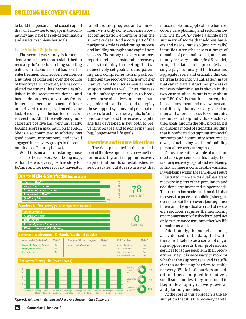to build the personal and social capital that will allow her to engage in the community and have the self-determination and assets to achieve her goals.

#### **Case Study #2: JoAnne**

The second case study is for a resident who is much more established in recovery. JoAnne had a long-standing battle with alcoholism that has seen her enter treatment and recovery services on a number of occasions over the course of twenty years. However, she has completed treatment, has become established in the recovery residence, and has made progress on various fronts. In her case there are no acute risks or unmet service needs, evidenced by the lack of red flags in the barriers to recovery section. All of the well-being indicators are positive and, very unusually, JoAnne scores a maximum on the ARC. She is also committed to sobriety, has good community support, and is well engaged in recovery groups in the community (see Figure 3 below).

What this means, translating those assets to the recovery well-being map, is that there is a very positive story for JoAnne and her peer recovery navigator

to tell around progress and achievement with only some concerns about accommodation emerging from the summary data. And a core part of the navigator's role is celebrating success and building strengths and capital from success. The strong recovery resources reported reflect considerable recovery assets to deploy in meeting the two subjectively set goals around parenting and completing nursing school, although the recovery coach or worker may well want to discuss mental health support needs as well. Thus, the task in the subsequent maps is to break down those objectives into more manageable units and tasks and to deploy those support systems and personal resources to achieve these goals. JoAnne has done well and the recovery capital she has developed is key both to preventing relapse and to achieving these big, longer-term life goals.

#### Overview and Future Directions

The data presented in this article is part of the development of a new method for measuring and mapping recovery capital that builds on established research scales, but does so in a way that



*Figure 3. JoAnne: An Established Recovery Resident Case Summary* sumption that it is the recovery capital

is accessible and applicable to both recovery care planning and self-monitoring. The REC-CAP yields a single page summary of scores that address barriers and needs, but also (and critically) identifies strengths across a range of domains of personal, social, and community recovery capital (Best & Laudet, 2010). The data can be presented as a single-page summary at both case and aggregate levels and crucially this can be translated into visualization maps that can initiate a structured process of recovery planning, as is shown in the two case studies. What is new about the REC-CAP is that it is a strengthsbased assessment and review measure that directly informs recovery care planning and affords access to community resources to help individuals achieve their goals through the MPE process. It is an ongoing model of strengths building that is predicated on tapping into social supports and community resources as a way of achieving goals and building personal recovery strengths.

Across the entire sample of one hundred cases presented in this study, there is strong recovery capital and well-being, although there is considerable variation in well-being within the sample. As Figure 1 illustrated, there are residual barriers to recovery in parts of the population and additional treatment and support needs. The assumption made in this model is that recovery is a process of building strengths over time. But the recovery journey is not linear and the gradual accrual of recovery resources requires the monitoring and management of setbacks related not only to substance use, but other key life domains as well.

Additionally, the model assumes, as evidenced in the data, that while there are likely to be a series of ongoing support needs from professional services for some people in their recovery journey, it is necessary to monitor whether the support received is sufficient in addressing barriers to stable recovery. While both barriers and additional needs applied to relatively small subsamples, they are crucial to flag in developing recovery reviews and planning models.

At the core of this approach is the as-